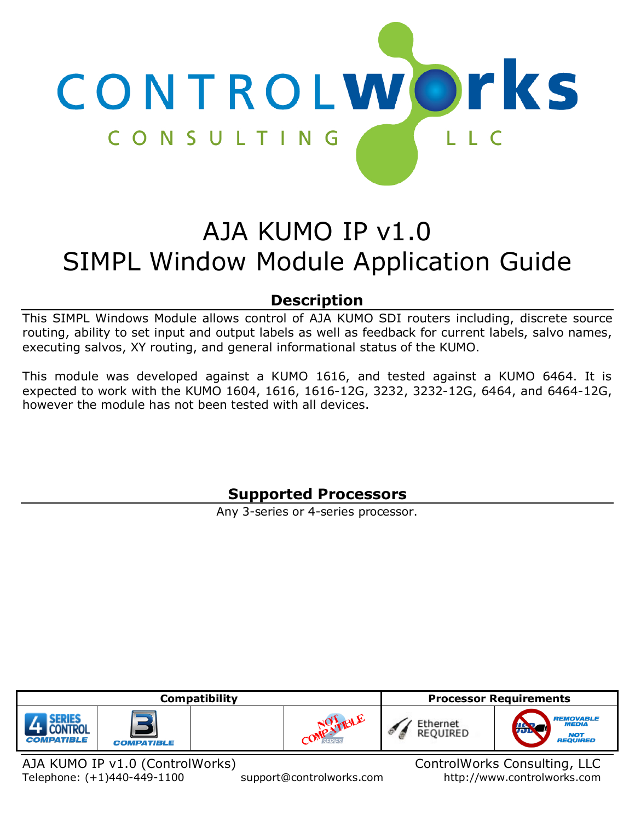

# AJA KUMO IP v1.0 SIMPL Window Module Application Guide

# **Description**

<span id="page-0-0"></span>This SIMPL Windows Module allows control of AJA KUMO SDI routers including, discrete source routing, ability to set input and output labels as well as feedback for current labels, salvo names, executing salvos, XY routing, and general informational status of the KUMO.

<span id="page-0-1"></span>This module was developed against a KUMO 1616, and tested against a KUMO 6464. It is expected to work with the KUMO 1604, 1616, 1616-12G, 3232, 3232-12G, 6464, and 6464-12G, however the module has not been tested with all devices.

# **Supported Processors**

Any 3-series or 4-series processor.

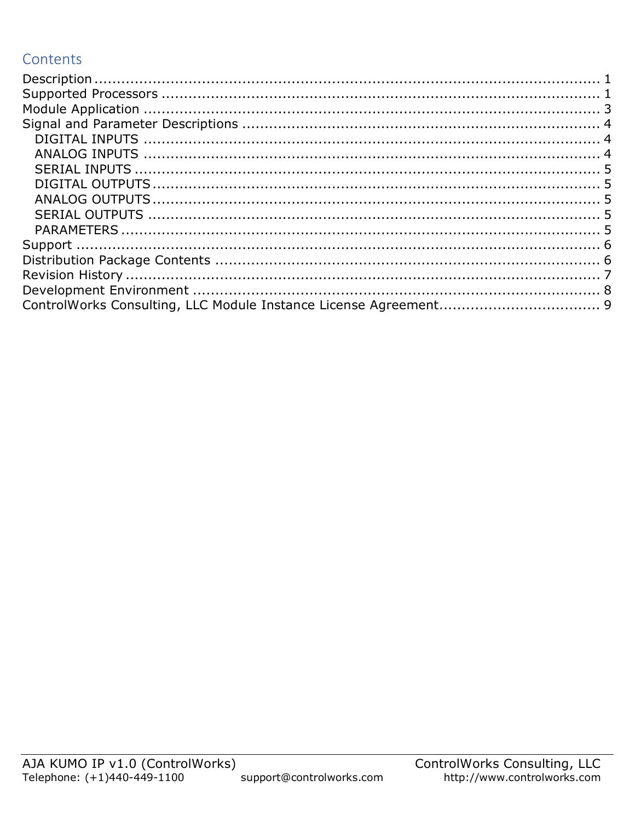# Contents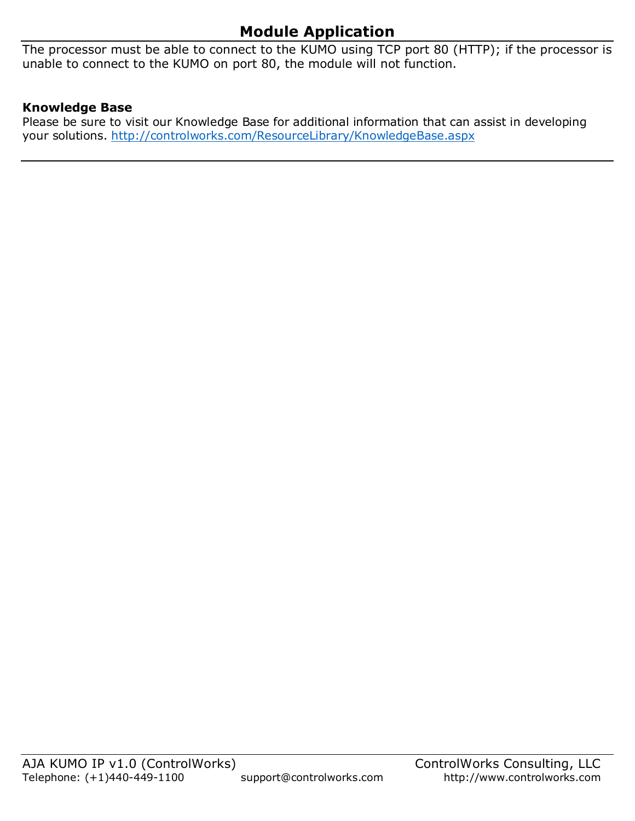# **Module Application**

<span id="page-2-0"></span>The processor must be able to connect to the KUMO using TCP port 80 (HTTP); if the processor is unable to connect to the KUMO on port 80, the module will not function.

### **Knowledge Base**

Please be sure to visit our Knowledge Base for additional information that can assist in developing your solutions.<http://controlworks.com/ResourceLibrary/KnowledgeBase.aspx>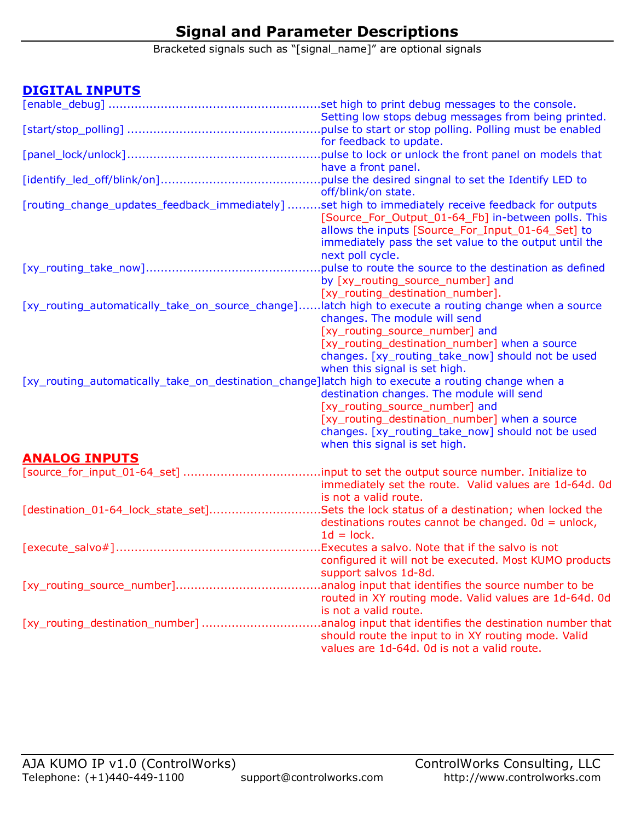# **Signal and Parameter Descriptions**

Bracketed signals such as "[signal\_name]" are optional signals

### <span id="page-3-1"></span><span id="page-3-0"></span>**DIGITAL INPUTS**

<span id="page-3-2"></span>

| Setting low stops debug messages from being printed.<br>pulse to start or stop polling. Polling must be enabled<br>for feedback to update.<br>pulse to lock or unlock the front panel on models that<br>have a front panel.<br>pulse the desired singnal to set the Identify LED to |
|-------------------------------------------------------------------------------------------------------------------------------------------------------------------------------------------------------------------------------------------------------------------------------------|
|                                                                                                                                                                                                                                                                                     |
|                                                                                                                                                                                                                                                                                     |
|                                                                                                                                                                                                                                                                                     |
|                                                                                                                                                                                                                                                                                     |
|                                                                                                                                                                                                                                                                                     |
|                                                                                                                                                                                                                                                                                     |
| off/blink/on state.                                                                                                                                                                                                                                                                 |
| [routing_change_updates_feedback_immediately]<br>set high to immediately receive feedback for outputs.                                                                                                                                                                              |
| [Source_For_Output_01-64_Fb] in-between polls. This                                                                                                                                                                                                                                 |
| allows the inputs [Source_For_Input_01-64_Set] to                                                                                                                                                                                                                                   |
| immediately pass the set value to the output until the                                                                                                                                                                                                                              |
| next poll cycle.                                                                                                                                                                                                                                                                    |
| pulse to route the source to the destination as defined                                                                                                                                                                                                                             |
| by [xy_routing_source_number] and                                                                                                                                                                                                                                                   |
| [xy_routing_destination_number].                                                                                                                                                                                                                                                    |
| [xy_routing_automatically_take_on_source_change]<br>latch high to execute a routing change when a source<br>changes. The module will send                                                                                                                                           |
|                                                                                                                                                                                                                                                                                     |
| [xy_routing_source_number] and                                                                                                                                                                                                                                                      |
| [xy_routing_destination_number] when a source<br>changes. [xy_routing_take_now] should not be used                                                                                                                                                                                  |
| when this signal is set high.                                                                                                                                                                                                                                                       |
| [xy_routing_automatically_take_on_destination_change]latch high to execute a routing change when a                                                                                                                                                                                  |
| destination changes. The module will send                                                                                                                                                                                                                                           |
| [xy_routing_source_number] and                                                                                                                                                                                                                                                      |
| [xy_routing_destination_number] when a source                                                                                                                                                                                                                                       |
| changes. [xy_routing_take_now] should not be used                                                                                                                                                                                                                                   |
| when this signal is set high.                                                                                                                                                                                                                                                       |
|                                                                                                                                                                                                                                                                                     |
| <b>ANALOG INPUTS</b>                                                                                                                                                                                                                                                                |
|                                                                                                                                                                                                                                                                                     |
| immediately set the route. Valid values are 1d-64d. Od<br>is not a valid route.                                                                                                                                                                                                     |
|                                                                                                                                                                                                                                                                                     |
| [destination_01-64_lock_state_set]Sets the lock status of a destination; when locked the                                                                                                                                                                                            |
| destinations routes cannot be changed. $0d =$ unlock,<br>$1d = lock.$                                                                                                                                                                                                               |
|                                                                                                                                                                                                                                                                                     |
| configured it will not be executed. Most KUMO products                                                                                                                                                                                                                              |
| support salvos 1d-8d.                                                                                                                                                                                                                                                               |
| analog input that identifies the source number to be                                                                                                                                                                                                                                |
| routed in XY routing mode. Valid values are 1d-64d. Od                                                                                                                                                                                                                              |
| is not a valid route.                                                                                                                                                                                                                                                               |
| [xy_routing_destination_number]<br>analog input that identifies the destination number that                                                                                                                                                                                         |
| should route the input to in XY routing mode. Valid                                                                                                                                                                                                                                 |
| values are 1d-64d. Od is not a valid route.                                                                                                                                                                                                                                         |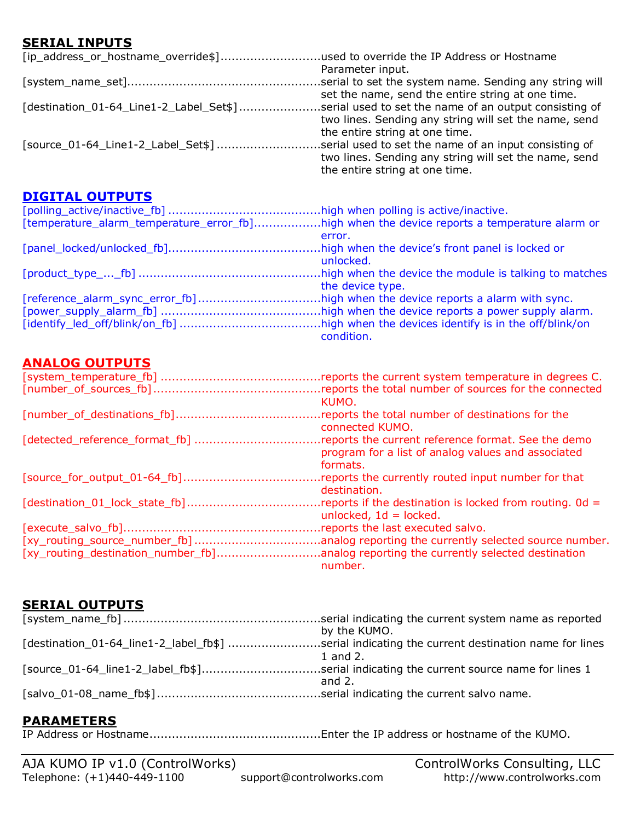### <span id="page-4-0"></span>**SERIAL INPUTS**

| [ip_address_or_hostname_override\$]used to override the IP Address or Hostname                |                                                       |
|-----------------------------------------------------------------------------------------------|-------------------------------------------------------|
|                                                                                               | Parameter input.                                      |
|                                                                                               |                                                       |
|                                                                                               | set the name, send the entire string at one time.     |
| [destination_01-64_Line1-2_Label_Set\$]serial used to set the name of an output consisting of |                                                       |
|                                                                                               | two lines. Sending any string will set the name, send |
|                                                                                               | the entire string at one time.                        |
| [source_01-64_Line1-2_Label_Set\$]serial used to set the name of an input consisting of       |                                                       |
|                                                                                               | two lines. Sending any string will set the name, send |
|                                                                                               | the entire string at one time.                        |

### <span id="page-4-1"></span>**DIGITAL OUTPUTS**

| [temperature_alarm_temperature_error_fb]high when the device reports a temperature alarm or |                  |
|---------------------------------------------------------------------------------------------|------------------|
|                                                                                             | error.           |
|                                                                                             |                  |
|                                                                                             | unlocked.        |
|                                                                                             |                  |
|                                                                                             | the device type. |
|                                                                                             |                  |
|                                                                                             |                  |
|                                                                                             |                  |
|                                                                                             | condition.       |

### <span id="page-4-2"></span>**ANALOG OUTPUTS**

| reports the total number of sources for the connected                |
|----------------------------------------------------------------------|
| KUMO.                                                                |
| reports the total number of destinations for the                     |
| connected KUMO.                                                      |
| reports the current reference format. See the demo.                  |
| program for a list of analog values and associated                   |
| formats.                                                             |
| reports the currently routed input number for that                   |
| destination.                                                         |
| reports if the destination is locked from routing. $0d =$            |
| unlocked, $1d =$ locked.                                             |
| reports the last executed salvo.                                     |
| analog reporting the currently selected source number.               |
| analog reporting the currently selected destination.                 |
| number.                                                              |
| [detected_reference_format_fb]<br>[xy_routing_destination_number_fb] |

### <span id="page-4-3"></span>**SERIAL OUTPUTS**

| [destination_01-64_line1-2_label_fb\$] serial indicating the current destination name for lines |
|-------------------------------------------------------------------------------------------------|
|                                                                                                 |
| [source_01-64_line1-2_label_fb\$]serial indicating the current source name for lines 1          |
|                                                                                                 |
|                                                                                                 |
|                                                                                                 |

### <span id="page-4-4"></span>**PARAMETERS**

IP Address or Hostname..............................................Enter the IP address or hostname of the KUMO.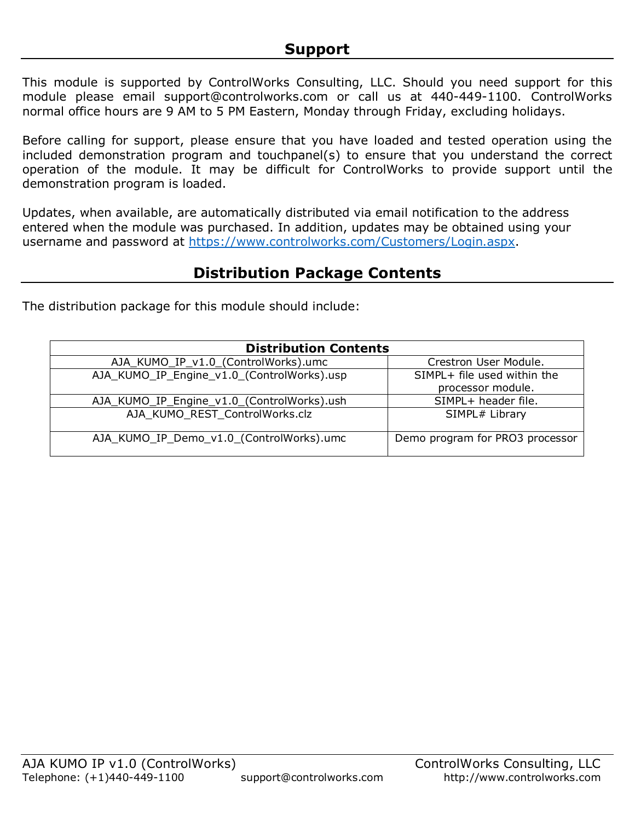<span id="page-5-0"></span>This module is supported by ControlWorks Consulting, LLC. Should you need support for this module please email support@controlworks.com or call us at 440-449-1100. ControlWorks normal office hours are 9 AM to 5 PM Eastern, Monday through Friday, excluding holidays.

Before calling for support, please ensure that you have loaded and tested operation using the included demonstration program and touchpanel(s) to ensure that you understand the correct operation of the module. It may be difficult for ControlWorks to provide support until the demonstration program is loaded.

Updates, when available, are automatically distributed via email notification to the address entered when the module was purchased. In addition, updates may be obtained using your username and password at [https://www.controlworks.com/Customers/Login.aspx.](https://www.controlworks.com/Customers/Login.aspx)

# **Distribution Package Contents**

<span id="page-5-1"></span>The distribution package for this module should include:

| <b>Distribution Contents</b>               |                                 |  |
|--------------------------------------------|---------------------------------|--|
| AJA_KUMO_IP_v1.0_(ControlWorks).umc        | Crestron User Module.           |  |
| AJA_KUMO_IP_Engine_v1.0_(ControlWorks).usp | SIMPL+ file used within the     |  |
|                                            | processor module.               |  |
| AJA_KUMO_IP_Engine_v1.0_(ControlWorks).ush | SIMPL+ header file.             |  |
| AJA_KUMO_REST_ControlWorks.clz             | SIMPL# Library                  |  |
| AJA_KUMO_IP_Demo_v1.0_(ControlWorks).umc   | Demo program for PRO3 processor |  |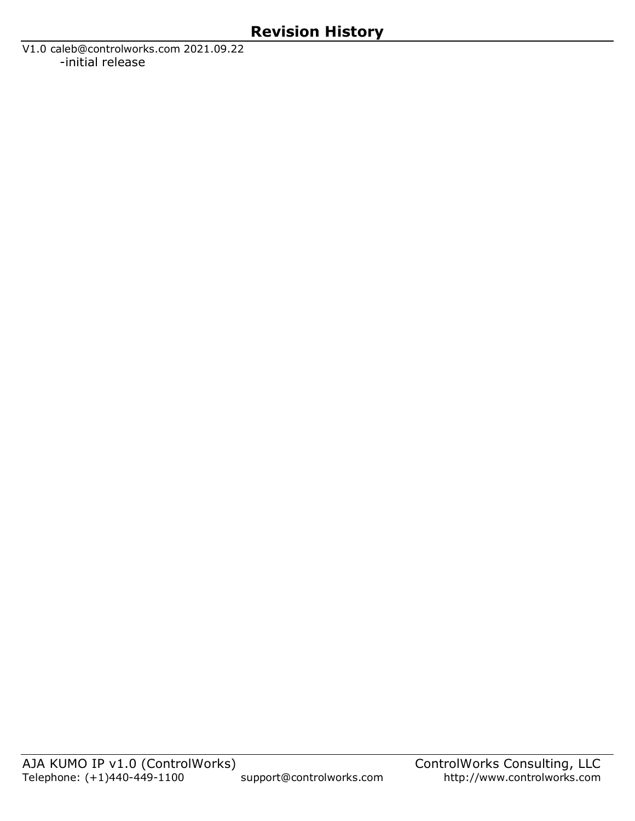<span id="page-6-0"></span>V1.0 caleb@controlworks.com 2021.09.22 -initial release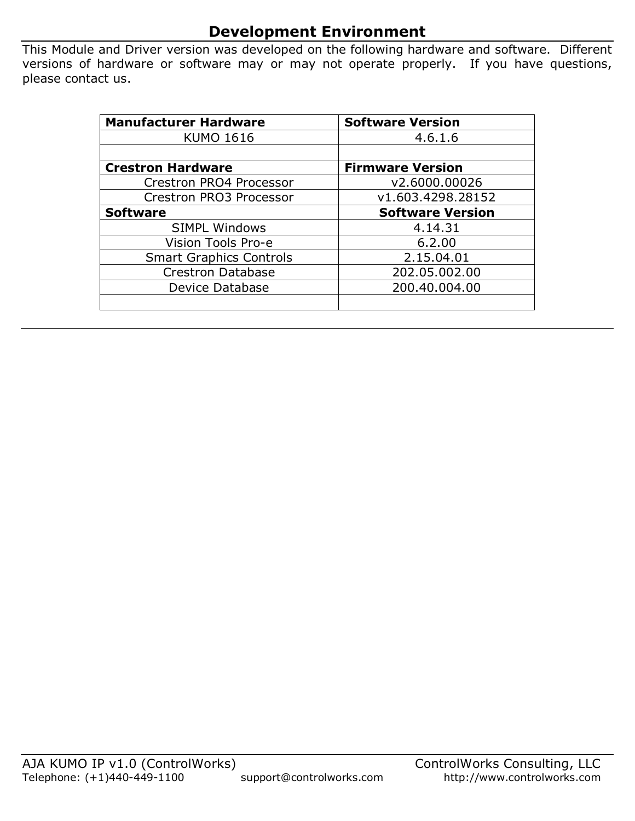## **Development Environment**

<span id="page-7-0"></span>This Module and Driver version was developed on the following hardware and software. Different versions of hardware or software may or may not operate properly. If you have questions, please contact us.

| <b>Manufacturer Hardware</b>   | <b>Software Version</b> |
|--------------------------------|-------------------------|
| <b>KUMO 1616</b>               | 4.6.1.6                 |
|                                |                         |
| <b>Crestron Hardware</b>       | <b>Firmware Version</b> |
| Crestron PRO4 Processor        | v2.6000.00026           |
| Crestron PRO3 Processor        | v1.603.4298.28152       |
| <b>Software</b>                | <b>Software Version</b> |
| <b>SIMPL Windows</b>           | 4.14.31                 |
| Vision Tools Pro-e             | 6.2.00                  |
| <b>Smart Graphics Controls</b> | 2.15.04.01              |
| <b>Crestron Database</b>       | 202.05.002.00           |
| Device Database                | 200.40.004.00           |
|                                |                         |